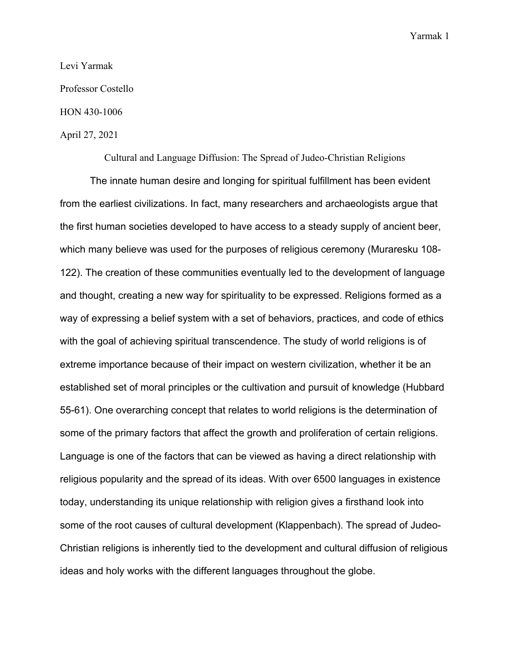#### Levi Yarmak

Professor Costello

### HON 430-1006

## April 27, 2021

Cultural and Language Diffusion: The Spread of Judeo-Christian Religions

The innate human desire and longing for spiritual fulfillment has been evident from the earliest civilizations. In fact, many researchers and archaeologists argue that the first human societies developed to have access to a steady supply of ancient beer, which many believe was used for the purposes of religious ceremony (Muraresku 108- 122). The creation of these communities eventually led to the development of language and thought, creating a new way for spirituality to be expressed. Religions formed as a way of expressing a belief system with a set of behaviors, practices, and code of ethics with the goal of achieving spiritual transcendence. The study of world religions is of extreme importance because of their impact on western civilization, whether it be an established set of moral principles or the cultivation and pursuit of knowledge (Hubbard 55-61). One overarching concept that relates to world religions is the determination of some of the primary factors that affect the growth and proliferation of certain religions. Language is one of the factors that can be viewed as having a direct relationship with religious popularity and the spread of its ideas. With over 6500 languages in existence today, understanding its unique relationship with religion gives a firsthand look into some of the root causes of cultural development (Klappenbach). The spread of Judeo-Christian religions is inherently tied to the development and cultural diffusion of religious ideas and holy works with the different languages throughout the globe.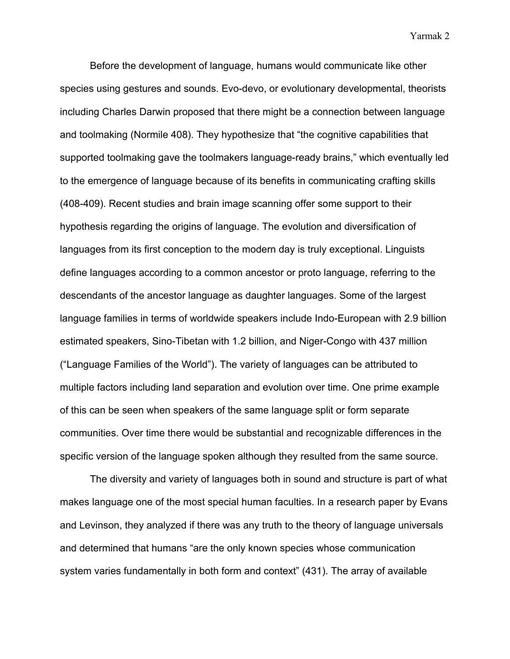Before the development of language, humans would communicate like other species using gestures and sounds. Evo-devo, or evolutionary developmental, theorists including Charles Darwin proposed that there might be a connection between language and toolmaking (Normile 408). They hypothesize that "the cognitive capabilities that supported toolmaking gave the toolmakers language-ready brains," which eventually led to the emergence of language because of its benefits in communicating crafting skills (408-409). Recent studies and brain image scanning offer some support to their hypothesis regarding the origins of language. The evolution and diversification of languages from its first conception to the modern day is truly exceptional. Linguists define languages according to a common ancestor or proto language, referring to the descendants of the ancestor language as daughter languages. Some of the largest language families in terms of worldwide speakers include Indo-European with 2.9 billion estimated speakers, Sino-Tibetan with 1.2 billion, and Niger-Congo with 437 million ("Language Families of the World"). The variety of languages can be attributed to multiple factors including land separation and evolution over time. One prime example of this can be seen when speakers of the same language split or form separate communities. Over time there would be substantial and recognizable differences in the specific version of the language spoken although they resulted from the same source.

The diversity and variety of languages both in sound and structure is part of what makes language one of the most special human faculties. In a research paper by Evans and Levinson, they analyzed if there was any truth to the theory of language universals and determined that humans "are the only known species whose communication system varies fundamentally in both form and context" (431). The array of available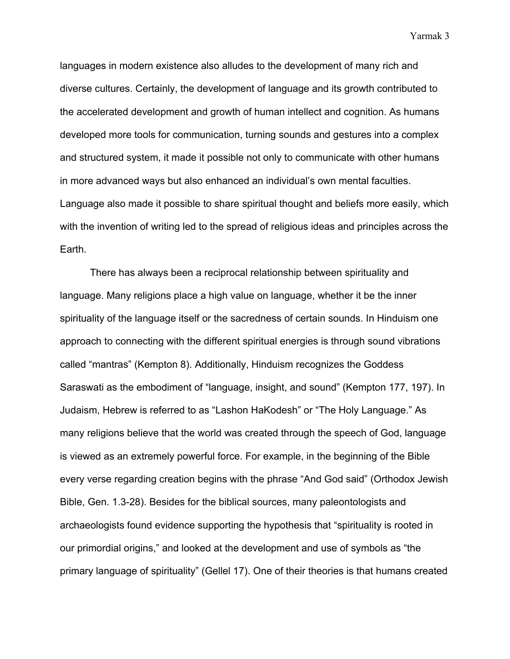languages in modern existence also alludes to the development of many rich and diverse cultures. Certainly, the development of language and its growth contributed to the accelerated development and growth of human intellect and cognition. As humans developed more tools for communication, turning sounds and gestures into a complex and structured system, it made it possible not only to communicate with other humans in more advanced ways but also enhanced an individual's own mental faculties. Language also made it possible to share spiritual thought and beliefs more easily, which with the invention of writing led to the spread of religious ideas and principles across the Earth.

There has always been a reciprocal relationship between spirituality and language. Many religions place a high value on language, whether it be the inner spirituality of the language itself or the sacredness of certain sounds. In Hinduism one approach to connecting with the different spiritual energies is through sound vibrations called "mantras" (Kempton 8). Additionally, Hinduism recognizes the Goddess Saraswati as the embodiment of "language, insight, and sound" (Kempton 177, 197). In Judaism, Hebrew is referred to as "Lashon HaKodesh" or "The Holy Language." As many religions believe that the world was created through the speech of God, language is viewed as an extremely powerful force. For example, in the beginning of the Bible every verse regarding creation begins with the phrase "And God said" (Orthodox Jewish Bible, Gen. 1.3-28). Besides for the biblical sources, many paleontologists and archaeologists found evidence supporting the hypothesis that "spirituality is rooted in our primordial origins," and looked at the development and use of symbols as "the primary language of spirituality" (Gellel 17). One of their theories is that humans created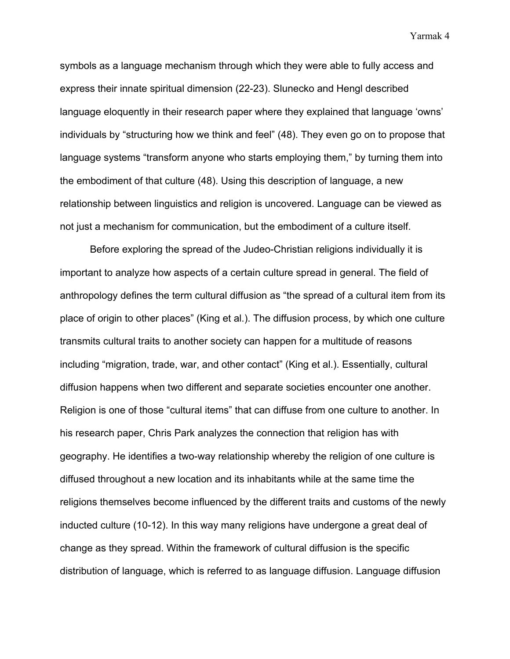symbols as a language mechanism through which they were able to fully access and express their innate spiritual dimension (22-23). Slunecko and Hengl described language eloquently in their research paper where they explained that language 'owns' individuals by "structuring how we think and feel" (48). They even go on to propose that language systems "transform anyone who starts employing them," by turning them into the embodiment of that culture (48). Using this description of language, a new relationship between linguistics and religion is uncovered. Language can be viewed as not just a mechanism for communication, but the embodiment of a culture itself.

Before exploring the spread of the Judeo-Christian religions individually it is important to analyze how aspects of a certain culture spread in general. The field of anthropology defines the term cultural diffusion as "the spread of a cultural item from its place of origin to other places" (King et al.). The diffusion process, by which one culture transmits cultural traits to another society can happen for a multitude of reasons including "migration, trade, war, and other contact" (King et al.). Essentially, cultural diffusion happens when two different and separate societies encounter one another. Religion is one of those "cultural items" that can diffuse from one culture to another. In his research paper, Chris Park analyzes the connection that religion has with geography. He identifies a two-way relationship whereby the religion of one culture is diffused throughout a new location and its inhabitants while at the same time the religions themselves become influenced by the different traits and customs of the newly inducted culture (10-12). In this way many religions have undergone a great deal of change as they spread. Within the framework of cultural diffusion is the specific distribution of language, which is referred to as language diffusion. Language diffusion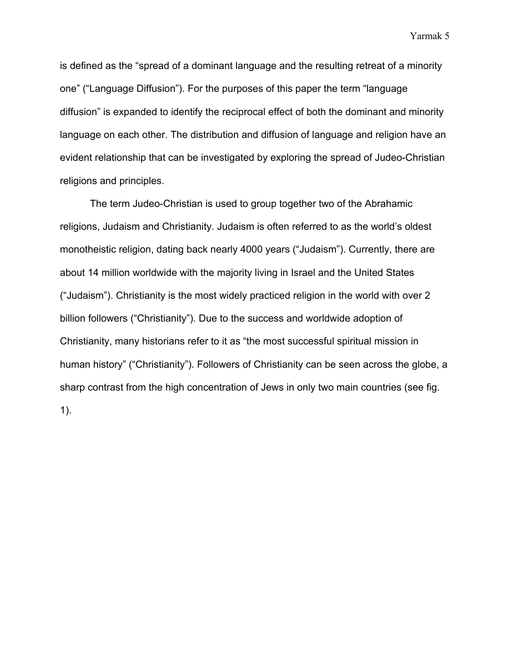is defined as the "spread of a dominant language and the resulting retreat of a minority one" ("Language Diffusion"). For the purposes of this paper the term "language diffusion" is expanded to identify the reciprocal effect of both the dominant and minority language on each other. The distribution and diffusion of language and religion have an evident relationship that can be investigated by exploring the spread of Judeo-Christian religions and principles.

The term Judeo-Christian is used to group together two of the Abrahamic religions, Judaism and Christianity. Judaism is often referred to as the world's oldest monotheistic religion, dating back nearly 4000 years ("Judaism"). Currently, there are about 14 million worldwide with the majority living in Israel and the United States ("Judaism"). Christianity is the most widely practiced religion in the world with over 2 billion followers ("Christianity"). Due to the success and worldwide adoption of Christianity, many historians refer to it as "the most successful spiritual mission in human history" ("Christianity"). Followers of Christianity can be seen across the globe, a sharp contrast from the high concentration of Jews in only two main countries (see fig. 1).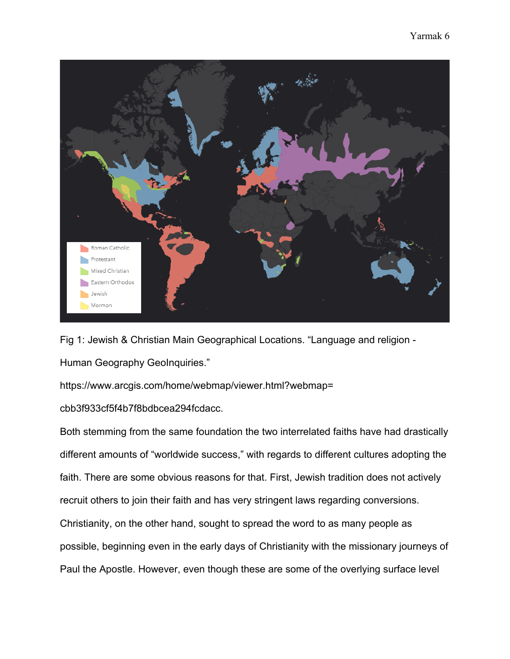

Fig 1: Jewish & Christian Main Geographical Locations. "Language and religion - Human Geography GeoInquiries."

https://www.arcgis.com/home/webmap/viewer.html?webmap=

cbb3f933cf5f4b7f8bdbcea294fcdacc.

Both stemming from the same foundation the two interrelated faiths have had drastically different amounts of "worldwide success," with regards to different cultures adopting the faith. There are some obvious reasons for that. First, Jewish tradition does not actively recruit others to join their faith and has very stringent laws regarding conversions. Christianity, on the other hand, sought to spread the word to as many people as possible, beginning even in the early days of Christianity with the missionary journeys of Paul the Apostle. However, even though these are some of the overlying surface level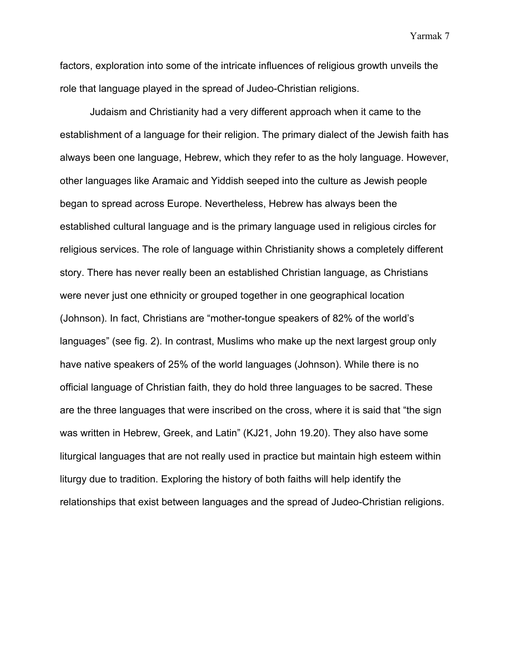factors, exploration into some of the intricate influences of religious growth unveils the role that language played in the spread of Judeo-Christian religions.

Judaism and Christianity had a very different approach when it came to the establishment of a language for their religion. The primary dialect of the Jewish faith has always been one language, Hebrew, which they refer to as the holy language. However, other languages like Aramaic and Yiddish seeped into the culture as Jewish people began to spread across Europe. Nevertheless, Hebrew has always been the established cultural language and is the primary language used in religious circles for religious services. The role of language within Christianity shows a completely different story. There has never really been an established Christian language, as Christians were never just one ethnicity or grouped together in one geographical location (Johnson). In fact, Christians are "mother-tongue speakers of 82% of the world's languages" (see fig. 2). In contrast, Muslims who make up the next largest group only have native speakers of 25% of the world languages (Johnson). While there is no official language of Christian faith, they do hold three languages to be sacred. These are the three languages that were inscribed on the cross, where it is said that "the sign was written in Hebrew, Greek, and Latin" (KJ21, John 19.20). They also have some liturgical languages that are not really used in practice but maintain high esteem within liturgy due to tradition. Exploring the history of both faiths will help identify the relationships that exist between languages and the spread of Judeo-Christian religions.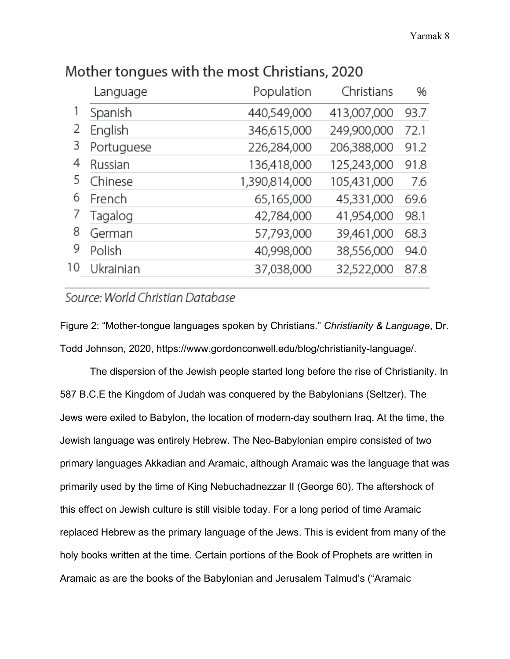|                                       | Language   | Population<br>Christians     | %    |
|---------------------------------------|------------|------------------------------|------|
| 2<br>3<br>4<br>5<br>6<br>8<br>9<br>10 | Spanish    | 440,549,000<br>413,007,000   | 93.7 |
|                                       | English    | 346,615,000<br>249,900,000   | 72.1 |
|                                       | Portuguese | 226,284,000<br>206,388,000   | 91.2 |
|                                       | Russian    | 136,418,000<br>125,243,000   | 91.8 |
|                                       | Chinese    | 1,390,814,000<br>105,431,000 | 7.6  |
|                                       | French     | 65,165,000<br>45,331,000     | 69.6 |
|                                       | Tagalog    | 42,784,000<br>41,954,000     | 98.1 |
|                                       | German     | 57,793,000<br>39,461,000     | 68.3 |
|                                       | Polish     | 40,998,000<br>38,556,000     | 94.0 |
|                                       | Ukrainian  | 37,038,000<br>32,522,000     | 87.8 |
|                                       |            |                              |      |

# Mother tongues with the most Christians, 2020

# Source: World Christian Database

Figure 2: "Mother-tongue languages spoken by Christians." *Christianity & Language*, Dr. Todd Johnson, 2020, https://www.gordonconwell.edu/blog/christianity-language/.

The dispersion of the Jewish people started long before the rise of Christianity. In 587 B.C.E the Kingdom of Judah was conquered by the Babylonians (Seltzer). The Jews were exiled to Babylon, the location of modern-day southern Iraq. At the time, the Jewish language was entirely Hebrew. The Neo-Babylonian empire consisted of two primary languages Akkadian and Aramaic, although Aramaic was the language that was primarily used by the time of King Nebuchadnezzar II (George 60). The aftershock of this effect on Jewish culture is still visible today. For a long period of time Aramaic replaced Hebrew as the primary language of the Jews. This is evident from many of the holy books written at the time. Certain portions of the Book of Prophets are written in Aramaic as are the books of the Babylonian and Jerusalem Talmud's ("Aramaic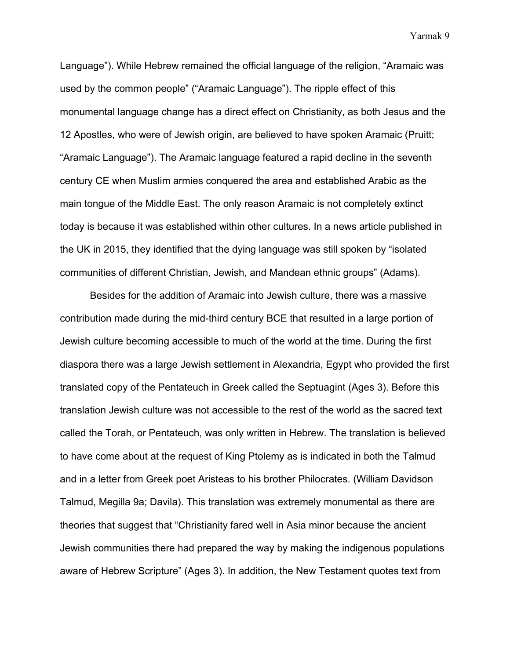Language"). While Hebrew remained the official language of the religion, "Aramaic was used by the common people" ("Aramaic Language"). The ripple effect of this monumental language change has a direct effect on Christianity, as both Jesus and the 12 Apostles, who were of Jewish origin, are believed to have spoken Aramaic (Pruitt; "Aramaic Language"). The Aramaic language featured a rapid decline in the seventh century CE when Muslim armies conquered the area and established Arabic as the main tongue of the Middle East. The only reason Aramaic is not completely extinct today is because it was established within other cultures. In a news article published in the UK in 2015, they identified that the dying language was still spoken by "isolated communities of different Christian, Jewish, and Mandean ethnic groups" (Adams).

Besides for the addition of Aramaic into Jewish culture, there was a massive contribution made during the mid-third century BCE that resulted in a large portion of Jewish culture becoming accessible to much of the world at the time. During the first diaspora there was a large Jewish settlement in Alexandria, Egypt who provided the first translated copy of the Pentateuch in Greek called the Septuagint (Ages 3). Before this translation Jewish culture was not accessible to the rest of the world as the sacred text called the Torah, or Pentateuch, was only written in Hebrew. The translation is believed to have come about at the request of King Ptolemy as is indicated in both the Talmud and in a letter from Greek poet Aristeas to his brother Philocrates. (William Davidson Talmud, Megilla 9a; Davila). This translation was extremely monumental as there are theories that suggest that "Christianity fared well in Asia minor because the ancient Jewish communities there had prepared the way by making the indigenous populations aware of Hebrew Scripture" (Ages 3). In addition, the New Testament quotes text from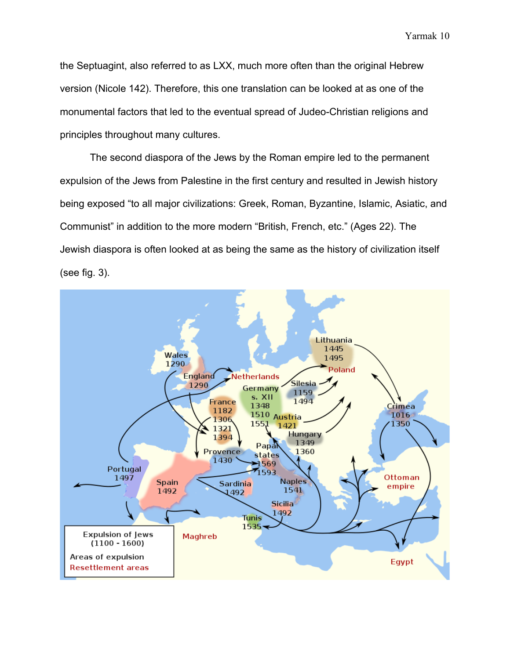the Septuagint, also referred to as LXX, much more often than the original Hebrew version (Nicole 142). Therefore, this one translation can be looked at as one of the monumental factors that led to the eventual spread of Judeo-Christian religions and principles throughout many cultures.

The second diaspora of the Jews by the Roman empire led to the permanent expulsion of the Jews from Palestine in the first century and resulted in Jewish history being exposed "to all major civilizations: Greek, Roman, Byzantine, Islamic, Asiatic, and Communist" in addition to the more modern "British, French, etc." (Ages 22). The Jewish diaspora is often looked at as being the same as the history of civilization itself (see fig. 3).

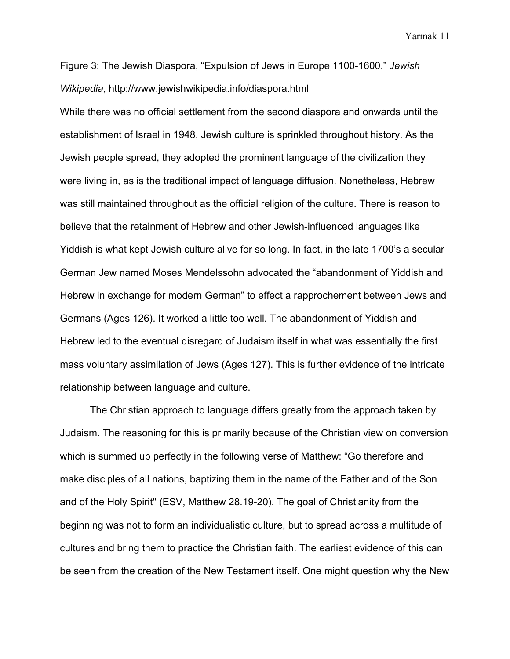Figure 3: The Jewish Diaspora, "Expulsion of Jews in Europe 1100-1600." *Jewish Wikipedia*, http://www.jewishwikipedia.info/diaspora.html

While there was no official settlement from the second diaspora and onwards until the establishment of Israel in 1948, Jewish culture is sprinkled throughout history. As the Jewish people spread, they adopted the prominent language of the civilization they were living in, as is the traditional impact of language diffusion. Nonetheless, Hebrew was still maintained throughout as the official religion of the culture. There is reason to believe that the retainment of Hebrew and other Jewish-influenced languages like Yiddish is what kept Jewish culture alive for so long. In fact, in the late 1700's a secular German Jew named Moses Mendelssohn advocated the "abandonment of Yiddish and Hebrew in exchange for modern German" to effect a rapprochement between Jews and Germans (Ages 126). It worked a little too well. The abandonment of Yiddish and Hebrew led to the eventual disregard of Judaism itself in what was essentially the first mass voluntary assimilation of Jews (Ages 127). This is further evidence of the intricate relationship between language and culture.

The Christian approach to language differs greatly from the approach taken by Judaism. The reasoning for this is primarily because of the Christian view on conversion which is summed up perfectly in the following verse of Matthew: "Go therefore and make disciples of all nations, baptizing them in the name of the Father and of the Son and of the Holy Spirit'' (ESV, Matthew 28.19-20). The goal of Christianity from the beginning was not to form an individualistic culture, but to spread across a multitude of cultures and bring them to practice the Christian faith. The earliest evidence of this can be seen from the creation of the New Testament itself. One might question why the New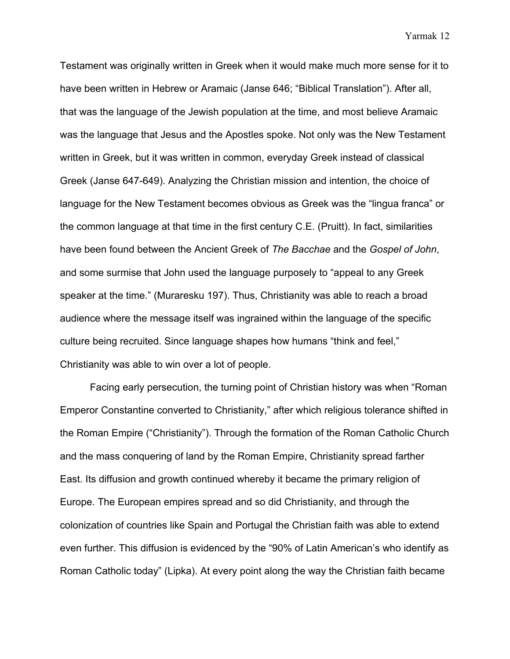Testament was originally written in Greek when it would make much more sense for it to have been written in Hebrew or Aramaic (Janse 646; "Biblical Translation"). After all, that was the language of the Jewish population at the time, and most believe Aramaic was the language that Jesus and the Apostles spoke. Not only was the New Testament written in Greek, but it was written in common, everyday Greek instead of classical Greek (Janse 647-649). Analyzing the Christian mission and intention, the choice of language for the New Testament becomes obvious as Greek was the "lingua franca" or the common language at that time in the first century C.E. (Pruitt). In fact, similarities have been found between the Ancient Greek of *The Bacchae* and the *Gospel of John*, and some surmise that John used the language purposely to "appeal to any Greek speaker at the time." (Muraresku 197). Thus, Christianity was able to reach a broad audience where the message itself was ingrained within the language of the specific culture being recruited. Since language shapes how humans "think and feel," Christianity was able to win over a lot of people.

Facing early persecution, the turning point of Christian history was when "Roman Emperor Constantine converted to Christianity," after which religious tolerance shifted in the Roman Empire ("Christianity"). Through the formation of the Roman Catholic Church and the mass conquering of land by the Roman Empire, Christianity spread farther East. Its diffusion and growth continued whereby it became the primary religion of Europe. The European empires spread and so did Christianity, and through the colonization of countries like Spain and Portugal the Christian faith was able to extend even further. This diffusion is evidenced by the "90% of Latin American's who identify as Roman Catholic today" (Lipka). At every point along the way the Christian faith became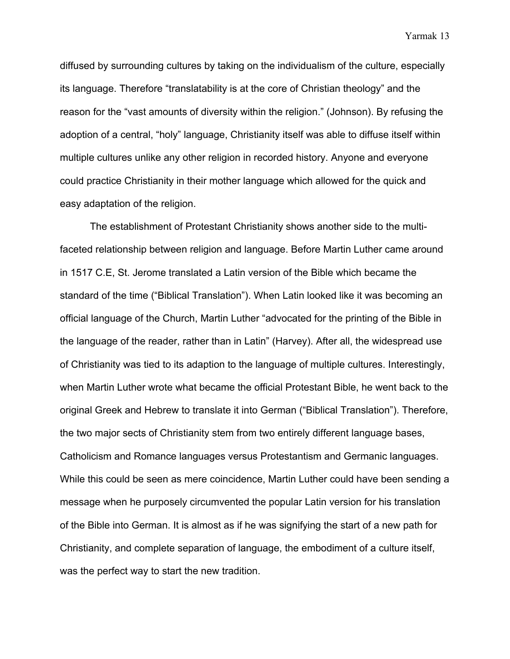diffused by surrounding cultures by taking on the individualism of the culture, especially its language. Therefore "translatability is at the core of Christian theology" and the reason for the "vast amounts of diversity within the religion." (Johnson). By refusing the adoption of a central, "holy" language, Christianity itself was able to diffuse itself within multiple cultures unlike any other religion in recorded history. Anyone and everyone could practice Christianity in their mother language which allowed for the quick and easy adaptation of the religion.

The establishment of Protestant Christianity shows another side to the multifaceted relationship between religion and language. Before Martin Luther came around in 1517 C.E, St. Jerome translated a Latin version of the Bible which became the standard of the time ("Biblical Translation"). When Latin looked like it was becoming an official language of the Church, Martin Luther "advocated for the printing of the Bible in the language of the reader, rather than in Latin" (Harvey). After all, the widespread use of Christianity was tied to its adaption to the language of multiple cultures. Interestingly, when Martin Luther wrote what became the official Protestant Bible, he went back to the original Greek and Hebrew to translate it into German ("Biblical Translation"). Therefore, the two major sects of Christianity stem from two entirely different language bases, Catholicism and Romance languages versus Protestantism and Germanic languages. While this could be seen as mere coincidence, Martin Luther could have been sending a message when he purposely circumvented the popular Latin version for his translation of the Bible into German. It is almost as if he was signifying the start of a new path for Christianity, and complete separation of language, the embodiment of a culture itself, was the perfect way to start the new tradition.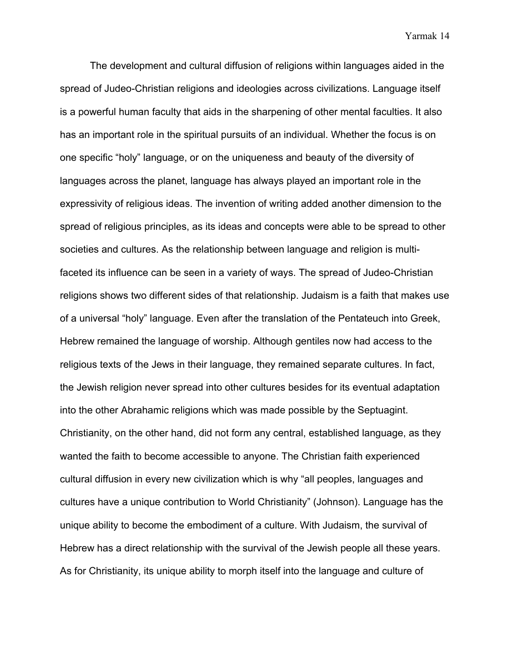The development and cultural diffusion of religions within languages aided in the spread of Judeo-Christian religions and ideologies across civilizations. Language itself is a powerful human faculty that aids in the sharpening of other mental faculties. It also has an important role in the spiritual pursuits of an individual. Whether the focus is on one specific "holy" language, or on the uniqueness and beauty of the diversity of languages across the planet, language has always played an important role in the expressivity of religious ideas. The invention of writing added another dimension to the spread of religious principles, as its ideas and concepts were able to be spread to other societies and cultures. As the relationship between language and religion is multifaceted its influence can be seen in a variety of ways. The spread of Judeo-Christian religions shows two different sides of that relationship. Judaism is a faith that makes use of a universal "holy" language. Even after the translation of the Pentateuch into Greek, Hebrew remained the language of worship. Although gentiles now had access to the religious texts of the Jews in their language, they remained separate cultures. In fact, the Jewish religion never spread into other cultures besides for its eventual adaptation into the other Abrahamic religions which was made possible by the Septuagint. Christianity, on the other hand, did not form any central, established language, as they wanted the faith to become accessible to anyone. The Christian faith experienced cultural diffusion in every new civilization which is why "all peoples, languages and cultures have a unique contribution to World Christianity" (Johnson). Language has the unique ability to become the embodiment of a culture. With Judaism, the survival of Hebrew has a direct relationship with the survival of the Jewish people all these years. As for Christianity, its unique ability to morph itself into the language and culture of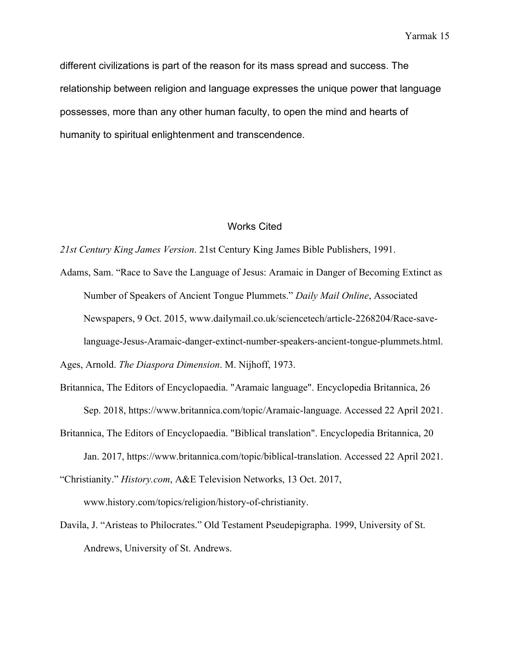different civilizations is part of the reason for its mass spread and success. The relationship between religion and language expresses the unique power that language possesses, more than any other human faculty, to open the mind and hearts of humanity to spiritual enlightenment and transcendence.

### Works Cited

*21st Century King James Version*. 21st Century King James Bible Publishers, 1991.

Adams, Sam. "Race to Save the Language of Jesus: Aramaic in Danger of Becoming Extinct as Number of Speakers of Ancient Tongue Plummets." *Daily Mail Online*, Associated Newspapers, 9 Oct. 2015, www.dailymail.co.uk/sciencetech/article-2268204/Race-savelanguage-Jesus-Aramaic-danger-extinct-number-speakers-ancient-tongue-plummets.html.

Ages, Arnold. *The Diaspora Dimension*. M. Nijhoff, 1973.

- Britannica, The Editors of Encyclopaedia. "Aramaic language". Encyclopedia Britannica, 26 Sep. 2018, https://www.britannica.com/topic/Aramaic-language. Accessed 22 April 2021.
- Britannica, The Editors of Encyclopaedia. "Biblical translation". Encyclopedia Britannica, 20 Jan. 2017, https://www.britannica.com/topic/biblical-translation. Accessed 22 April 2021.

"Christianity." *History.com*, A&E Television Networks, 13 Oct. 2017, www.history.com/topics/religion/history-of-christianity.

Davila, J. "Aristeas to Philocrates." Old Testament Pseudepigrapha. 1999, University of St. Andrews, University of St. Andrews.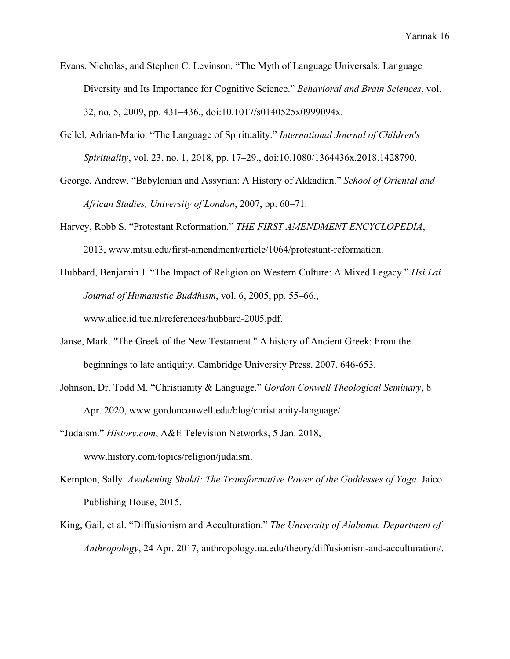- Evans, Nicholas, and Stephen C. Levinson. "The Myth of Language Universals: Language Diversity and Its Importance for Cognitive Science." *Behavioral and Brain Sciences*, vol. 32, no. 5, 2009, pp. 431–436., doi:10.1017/s0140525x0999094x.
- Gellel, Adrian-Mario. "The Language of Spirituality." *International Journal of Children's Spirituality*, vol. 23, no. 1, 2018, pp. 17–29., doi:10.1080/1364436x.2018.1428790.
- George, Andrew. "Babylonian and Assyrian: A History of Akkadian." *School of Oriental and African Studies, University of London*, 2007, pp. 60–71.
- Harvey, Robb S. "Protestant Reformation." *THE FIRST AMENDMENT ENCYCLOPEDIA*, 2013, www.mtsu.edu/first-amendment/article/1064/protestant-reformation.
- Hubbard, Benjamin J. "The Impact of Religion on Western Culture: A Mixed Legacy." *Hsi Lai Journal of Humanistic Buddhism*, vol. 6, 2005, pp. 55–66., www.alice.id.tue.nl/references/hubbard-2005.pdf.
- Janse, Mark. "The Greek of the New Testament." A history of Ancient Greek: From the beginnings to late antiquity. Cambridge University Press, 2007. 646-653.
- Johnson, Dr. Todd M. "Christianity & Language." *Gordon Conwell Theological Seminary*, 8 Apr. 2020, www.gordonconwell.edu/blog/christianity-language/.
- "Judaism." *History.com*, A&E Television Networks, 5 Jan. 2018, www.history.com/topics/religion/judaism.
- Kempton, Sally. *Awakening Shakti: The Transformative Power of the Goddesses of Yoga*. Jaico Publishing House, 2015.
- King, Gail, et al. "Diffusionism and Acculturation." *The University of Alabama, Department of Anthropology*, 24 Apr. 2017, anthropology.ua.edu/theory/diffusionism-and-acculturation/.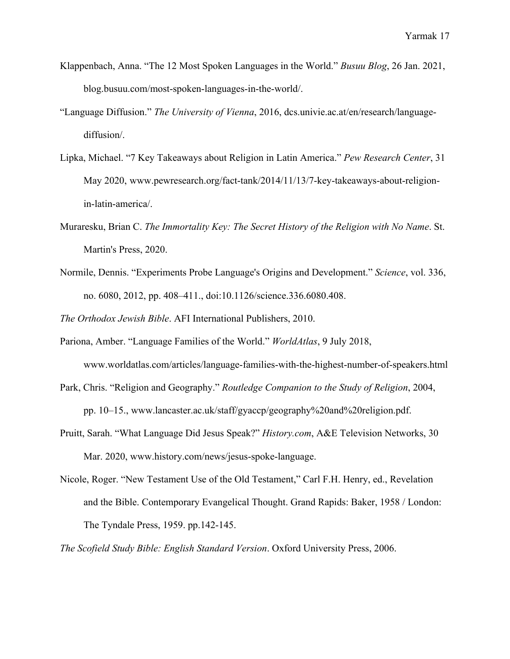- Klappenbach, Anna. "The 12 Most Spoken Languages in the World." *Busuu Blog*, 26 Jan. 2021, blog.busuu.com/most-spoken-languages-in-the-world/.
- "Language Diffusion." *The University of Vienna*, 2016, dcs.univie.ac.at/en/research/languagediffusion/.
- Lipka, Michael. "7 Key Takeaways about Religion in Latin America." *Pew Research Center*, 31 May 2020, www.pewresearch.org/fact-tank/2014/11/13/7-key-takeaways-about-religionin-latin-america/.
- Muraresku, Brian C. *The Immortality Key: The Secret History of the Religion with No Name*. St. Martin's Press, 2020.
- Normile, Dennis. "Experiments Probe Language's Origins and Development." *Science*, vol. 336, no. 6080, 2012, pp. 408–411., doi:10.1126/science.336.6080.408.

*The Orthodox Jewish Bible*. AFI International Publishers, 2010.

- Pariona, Amber. "Language Families of the World." *WorldAtlas*, 9 July 2018, www.worldatlas.com/articles/language-families-with-the-highest-number-of-speakers.html
- Park, Chris. "Religion and Geography." *Routledge Companion to the Study of Religion*, 2004, pp. 10–15., www.lancaster.ac.uk/staff/gyaccp/geography%20and%20religion.pdf.
- Pruitt, Sarah. "What Language Did Jesus Speak?" *History.com*, A&E Television Networks, 30 Mar. 2020, www.history.com/news/jesus-spoke-language.
- Nicole, Roger. "New Testament Use of the Old Testament," Carl F.H. Henry, ed., Revelation and the Bible. Contemporary Evangelical Thought. Grand Rapids: Baker, 1958 / London: The Tyndale Press, 1959. pp.142-145.

*The Scofield Study Bible: English Standard Version*. Oxford University Press, 2006.